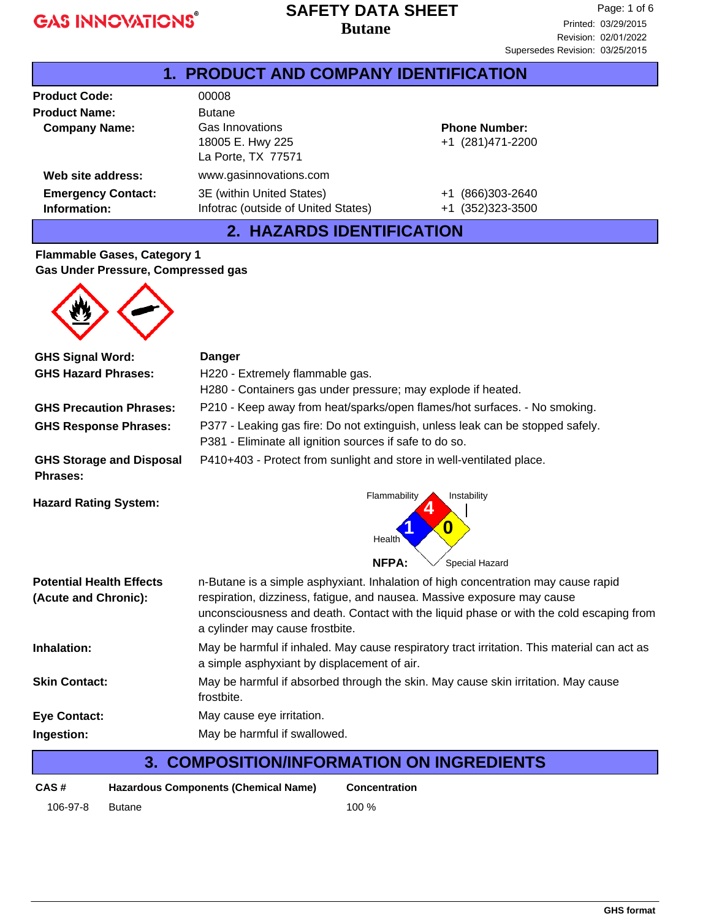#### **Butane SAFETY DATA SHEET**

| <b>1. PRODUCT AND COMPANY IDENTIFICATION</b>                   |                                                                                            |                                           |  |  |
|----------------------------------------------------------------|--------------------------------------------------------------------------------------------|-------------------------------------------|--|--|
| <b>Product Code:</b>                                           | 00008                                                                                      |                                           |  |  |
| <b>Product Name:</b><br><b>Company Name:</b>                   | <b>Butane</b><br>Gas Innovations<br>18005 E. Hwy 225<br>La Porte, TX 77571                 | <b>Phone Number:</b><br>+1 (281)471-2200  |  |  |
| Web site address:<br><b>Emergency Contact:</b><br>Information: | www.gasinnovations.com<br>3E (within United States)<br>Infotrac (outside of United States) | (866)303-2640<br>$+1$<br>+1 (352)323-3500 |  |  |

### **2. HAZARDS IDENTIFICATION**

#### **Flammable Gases, Category 1 Gas Under Pressure, Compressed gas**



| <b>GHS Signal Word:</b>                     | <b>Danger</b>                                                                                                                                                                                         |  |  |
|---------------------------------------------|-------------------------------------------------------------------------------------------------------------------------------------------------------------------------------------------------------|--|--|
| <b>GHS Hazard Phrases:</b>                  | H220 - Extremely flammable gas.                                                                                                                                                                       |  |  |
|                                             | H280 - Containers gas under pressure; may explode if heated.                                                                                                                                          |  |  |
| <b>GHS Precaution Phrases:</b>              | P210 - Keep away from heat/sparks/open flames/hot surfaces. - No smoking.                                                                                                                             |  |  |
| <b>GHS Response Phrases:</b>                | P377 - Leaking gas fire: Do not extinguish, unless leak can be stopped safely.<br>P381 - Eliminate all ignition sources if safe to do so.                                                             |  |  |
| <b>GHS Storage and Disposal</b><br>Phrases: | P410+403 - Protect from sunlight and store in well-ventilated place.                                                                                                                                  |  |  |
| <b>Hazard Rating System:</b>                | Flammability<br>Instability<br>0<br>Health<br><b>NFPA:</b><br>Special Hazard                                                                                                                          |  |  |
|                                             |                                                                                                                                                                                                       |  |  |
| <b>Potential Health Effects</b>             | n-Butane is a simple asphyxiant. Inhalation of high concentration may cause rapid                                                                                                                     |  |  |
| (Acute and Chronic):                        | respiration, dizziness, fatigue, and nausea. Massive exposure may cause<br>unconsciousness and death. Contact with the liquid phase or with the cold escaping from<br>a cylinder may cause frostbite. |  |  |
| Inhalation:                                 | May be harmful if inhaled. May cause respiratory tract irritation. This material can act as<br>a simple asphyxiant by displacement of air.                                                            |  |  |
| <b>Skin Contact:</b>                        | May be harmful if absorbed through the skin. May cause skin irritation. May cause<br>frostbite.                                                                                                       |  |  |
| <b>Eye Contact:</b>                         | May cause eye irritation.                                                                                                                                                                             |  |  |
| Ingestion:                                  | May be harmful if swallowed.                                                                                                                                                                          |  |  |

## **3. COMPOSITION/INFORMATION ON INGREDIENTS**

| CAS#     | <b>Hazardous Components (Chemical Name)</b> |       |
|----------|---------------------------------------------|-------|
| 106-97-8 | Butane                                      | 100 % |

**Concentration**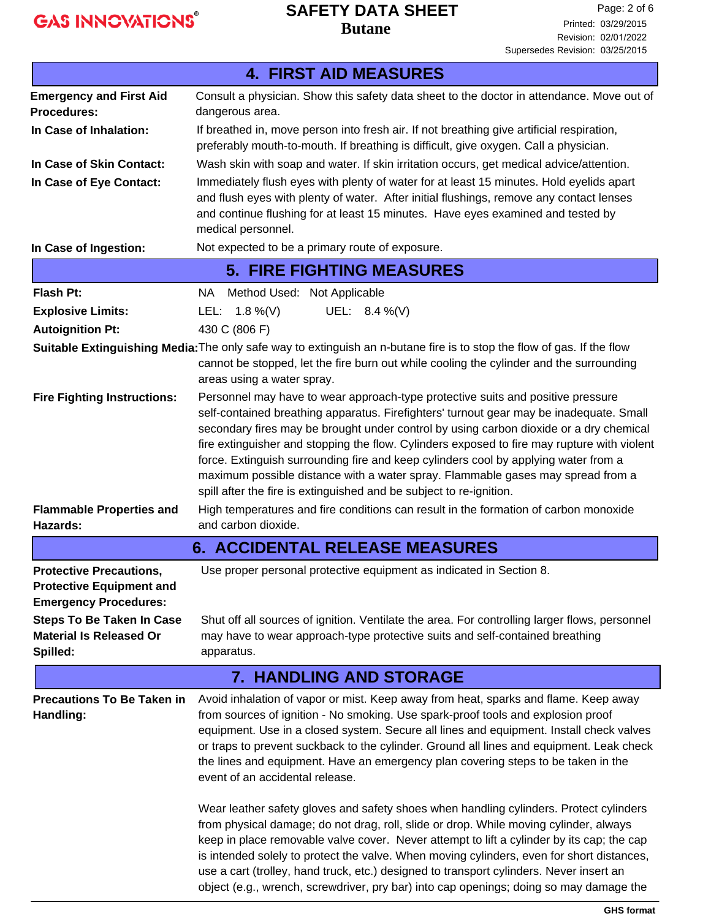### **Butane SAFETY DATA SHEET**

|                                                                                                   | <b>4. FIRST AID MEASURES</b>                                                                                                                                                                                                                                                                                                                                                                                                                                                                                                                                                                                                                                                                                                                                                                                                                                                                                                                                                                                                                             |
|---------------------------------------------------------------------------------------------------|----------------------------------------------------------------------------------------------------------------------------------------------------------------------------------------------------------------------------------------------------------------------------------------------------------------------------------------------------------------------------------------------------------------------------------------------------------------------------------------------------------------------------------------------------------------------------------------------------------------------------------------------------------------------------------------------------------------------------------------------------------------------------------------------------------------------------------------------------------------------------------------------------------------------------------------------------------------------------------------------------------------------------------------------------------|
| <b>Emergency and First Aid</b>                                                                    | Consult a physician. Show this safety data sheet to the doctor in attendance. Move out of                                                                                                                                                                                                                                                                                                                                                                                                                                                                                                                                                                                                                                                                                                                                                                                                                                                                                                                                                                |
| <b>Procedures:</b>                                                                                | dangerous area.                                                                                                                                                                                                                                                                                                                                                                                                                                                                                                                                                                                                                                                                                                                                                                                                                                                                                                                                                                                                                                          |
| In Case of Inhalation:                                                                            | If breathed in, move person into fresh air. If not breathing give artificial respiration,<br>preferably mouth-to-mouth. If breathing is difficult, give oxygen. Call a physician.                                                                                                                                                                                                                                                                                                                                                                                                                                                                                                                                                                                                                                                                                                                                                                                                                                                                        |
| In Case of Skin Contact:                                                                          | Wash skin with soap and water. If skin irritation occurs, get medical advice/attention.                                                                                                                                                                                                                                                                                                                                                                                                                                                                                                                                                                                                                                                                                                                                                                                                                                                                                                                                                                  |
| In Case of Eye Contact:                                                                           | Immediately flush eyes with plenty of water for at least 15 minutes. Hold eyelids apart<br>and flush eyes with plenty of water. After initial flushings, remove any contact lenses<br>and continue flushing for at least 15 minutes. Have eyes examined and tested by<br>medical personnel.                                                                                                                                                                                                                                                                                                                                                                                                                                                                                                                                                                                                                                                                                                                                                              |
| In Case of Ingestion:                                                                             | Not expected to be a primary route of exposure.                                                                                                                                                                                                                                                                                                                                                                                                                                                                                                                                                                                                                                                                                                                                                                                                                                                                                                                                                                                                          |
|                                                                                                   | <b>5. FIRE FIGHTING MEASURES</b>                                                                                                                                                                                                                                                                                                                                                                                                                                                                                                                                                                                                                                                                                                                                                                                                                                                                                                                                                                                                                         |
| Flash Pt:                                                                                         | Method Used: Not Applicable<br>NA .                                                                                                                                                                                                                                                                                                                                                                                                                                                                                                                                                                                                                                                                                                                                                                                                                                                                                                                                                                                                                      |
| <b>Explosive Limits:</b>                                                                          | UEL: 8.4 %(V)<br>LEL: $1.8\%$ (V)                                                                                                                                                                                                                                                                                                                                                                                                                                                                                                                                                                                                                                                                                                                                                                                                                                                                                                                                                                                                                        |
| <b>Autoignition Pt:</b>                                                                           | 430 C (806 F)                                                                                                                                                                                                                                                                                                                                                                                                                                                                                                                                                                                                                                                                                                                                                                                                                                                                                                                                                                                                                                            |
|                                                                                                   | Suitable Extinguishing Media: The only safe way to extinguish an n-butane fire is to stop the flow of gas. If the flow<br>cannot be stopped, let the fire burn out while cooling the cylinder and the surrounding<br>areas using a water spray.                                                                                                                                                                                                                                                                                                                                                                                                                                                                                                                                                                                                                                                                                                                                                                                                          |
| <b>Fire Fighting Instructions:</b><br><b>Flammable Properties and</b>                             | Personnel may have to wear approach-type protective suits and positive pressure<br>self-contained breathing apparatus. Firefighters' turnout gear may be inadequate. Small<br>secondary fires may be brought under control by using carbon dioxide or a dry chemical<br>fire extinguisher and stopping the flow. Cylinders exposed to fire may rupture with violent<br>force. Extinguish surrounding fire and keep cylinders cool by applying water from a<br>maximum possible distance with a water spray. Flammable gases may spread from a<br>spill after the fire is extinguished and be subject to re-ignition.<br>High temperatures and fire conditions can result in the formation of carbon monoxide                                                                                                                                                                                                                                                                                                                                             |
| Hazards:                                                                                          | and carbon dioxide.                                                                                                                                                                                                                                                                                                                                                                                                                                                                                                                                                                                                                                                                                                                                                                                                                                                                                                                                                                                                                                      |
|                                                                                                   | <b>6. ACCIDENTAL RELEASE MEASURES</b>                                                                                                                                                                                                                                                                                                                                                                                                                                                                                                                                                                                                                                                                                                                                                                                                                                                                                                                                                                                                                    |
| <b>Protective Precautions,</b><br><b>Protective Equipment and</b><br><b>Emergency Procedures:</b> | Use proper personal protective equipment as indicated in Section 8.                                                                                                                                                                                                                                                                                                                                                                                                                                                                                                                                                                                                                                                                                                                                                                                                                                                                                                                                                                                      |
| <b>Steps To Be Taken In Case</b><br><b>Material Is Released Or</b><br>Spilled:                    | Shut off all sources of ignition. Ventilate the area. For controlling larger flows, personnel<br>may have to wear approach-type protective suits and self-contained breathing<br>apparatus.                                                                                                                                                                                                                                                                                                                                                                                                                                                                                                                                                                                                                                                                                                                                                                                                                                                              |
|                                                                                                   | <b>7. HANDLING AND STORAGE</b>                                                                                                                                                                                                                                                                                                                                                                                                                                                                                                                                                                                                                                                                                                                                                                                                                                                                                                                                                                                                                           |
| <b>Precautions To Be Taken in</b><br>Handling:                                                    | Avoid inhalation of vapor or mist. Keep away from heat, sparks and flame. Keep away<br>from sources of ignition - No smoking. Use spark-proof tools and explosion proof<br>equipment. Use in a closed system. Secure all lines and equipment. Install check valves<br>or traps to prevent suckback to the cylinder. Ground all lines and equipment. Leak check<br>the lines and equipment. Have an emergency plan covering steps to be taken in the<br>event of an accidental release.<br>Wear leather safety gloves and safety shoes when handling cylinders. Protect cylinders<br>from physical damage; do not drag, roll, slide or drop. While moving cylinder, always<br>keep in place removable valve cover. Never attempt to lift a cylinder by its cap; the cap<br>is intended solely to protect the valve. When moving cylinders, even for short distances,<br>use a cart (trolley, hand truck, etc.) designed to transport cylinders. Never insert an<br>object (e.g., wrench, screwdriver, pry bar) into cap openings; doing so may damage the |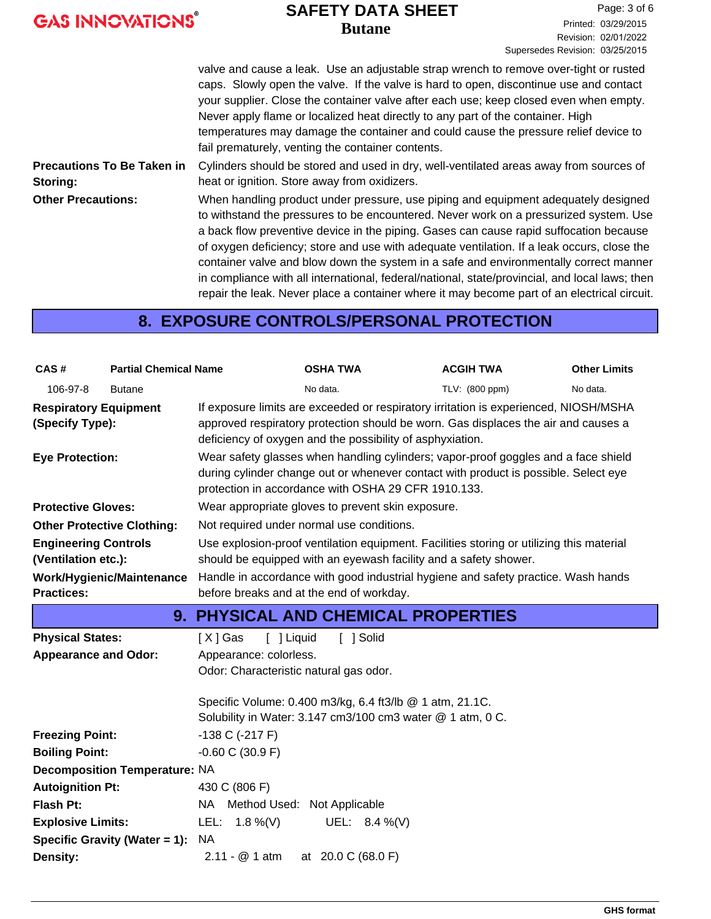|  | <b>GAS INNOVATIONS®</b> |  |
|--|-------------------------|--|
|--|-------------------------|--|

#### **Butane SAFETY DATA SHEET**

Page: 3 of 6 Printed: 03/29/2015 Revision: 02/01/2022 Supersedes Revision: 03/25/2015

valve and cause a leak. Use an adjustable strap wrench to remove over-tight or rusted caps. Slowly open the valve. If the valve is hard to open, discontinue use and contact your supplier. Close the container valve after each use; keep closed even when empty. Never apply flame or localized heat directly to any part of the container. High temperatures may damage the container and could cause the pressure relief device to fail prematurely, venting the container contents. Cylinders should be stored and used in dry, well-ventilated areas away from sources of heat or ignition. Store away from oxidizers. **Precautions To Be Taken in Storing:** When handling product under pressure, use piping and equipment adequately designed to withstand the pressures to be encountered. Never work on a pressurized system. Use a back flow preventive device in the piping. Gases can cause rapid suffocation because of oxygen deficiency; store and use with adequate ventilation. If a leak occurs, close the container valve and blow down the system in a safe and environmentally correct manner in compliance with all international, federal/national, state/provincial, and local laws; then repair the leak. Never place a container where it may become part of an electrical circuit. **Other Precautions:**

### **8. EXPOSURE CONTROLS/PERSONAL PROTECTION**

| CAS#                                            | <b>Partial Chemical Name</b>                                                                                                                                                                                       |                                                                                                                               | <b>OSHA TWA</b>                                                                                                                                                                                                                         | <b>ACGIH TWA</b> | <b>Other Limits</b> |  |
|-------------------------------------------------|--------------------------------------------------------------------------------------------------------------------------------------------------------------------------------------------------------------------|-------------------------------------------------------------------------------------------------------------------------------|-----------------------------------------------------------------------------------------------------------------------------------------------------------------------------------------------------------------------------------------|------------------|---------------------|--|
| 106-97-8                                        | <b>Butane</b>                                                                                                                                                                                                      |                                                                                                                               | No data.                                                                                                                                                                                                                                | TLV: (800 ppm)   | No data.            |  |
| <b>Respiratory Equipment</b><br>(Specify Type): |                                                                                                                                                                                                                    |                                                                                                                               | If exposure limits are exceeded or respiratory irritation is experienced, NIOSH/MSHA<br>approved respiratory protection should be worn. Gas displaces the air and causes a<br>deficiency of oxygen and the possibility of asphyxiation. |                  |                     |  |
| <b>Eye Protection:</b>                          |                                                                                                                                                                                                                    |                                                                                                                               | Wear safety glasses when handling cylinders; vapor-proof goggles and a face shield<br>during cylinder change out or whenever contact with product is possible. Select eye<br>protection in accordance with OSHA 29 CFR 1910.133.        |                  |                     |  |
| <b>Protective Gloves:</b>                       |                                                                                                                                                                                                                    |                                                                                                                               | Wear appropriate gloves to prevent skin exposure.                                                                                                                                                                                       |                  |                     |  |
| <b>Other Protective Clothing:</b>               |                                                                                                                                                                                                                    |                                                                                                                               | Not required under normal use conditions.                                                                                                                                                                                               |                  |                     |  |
|                                                 | Use explosion-proof ventilation equipment. Facilities storing or utilizing this material<br><b>Engineering Controls</b><br>(Ventilation etc.):<br>should be equipped with an eyewash facility and a safety shower. |                                                                                                                               |                                                                                                                                                                                                                                         |                  |                     |  |
| <b>Practices:</b>                               | Work/Hygienic/Maintenance                                                                                                                                                                                          | Handle in accordance with good industrial hygiene and safety practice. Wash hands<br>before breaks and at the end of workday. |                                                                                                                                                                                                                                         |                  |                     |  |
|                                                 |                                                                                                                                                                                                                    |                                                                                                                               | <b>9. PHYSICAL AND CHEMICAL PROPERTIES</b>                                                                                                                                                                                              |                  |                     |  |
| <b>Physical States:</b>                         |                                                                                                                                                                                                                    | [X] Gas<br>[ ] Liquid                                                                                                         | [ ] Solid                                                                                                                                                                                                                               |                  |                     |  |
| <b>Appearance and Odor:</b>                     |                                                                                                                                                                                                                    | Appearance: colorless.                                                                                                        |                                                                                                                                                                                                                                         |                  |                     |  |
| Odor: Characteristic natural gas odor.          |                                                                                                                                                                                                                    |                                                                                                                               |                                                                                                                                                                                                                                         |                  |                     |  |
|                                                 |                                                                                                                                                                                                                    |                                                                                                                               | Specific Volume: 0.400 m3/kg, 6.4 ft3/lb @ 1 atm, 21.1C.                                                                                                                                                                                |                  |                     |  |
|                                                 |                                                                                                                                                                                                                    |                                                                                                                               | Solubility in Water: 3.147 cm3/100 cm3 water @ 1 atm, 0 C.                                                                                                                                                                              |                  |                     |  |
| <b>Freezing Point:</b>                          |                                                                                                                                                                                                                    | $-138$ C ( $-217$ F)                                                                                                          |                                                                                                                                                                                                                                         |                  |                     |  |
| <b>Boiling Point:</b>                           | $-0.60$ C (30.9 F)                                                                                                                                                                                                 |                                                                                                                               |                                                                                                                                                                                                                                         |                  |                     |  |
|                                                 | <b>Decomposition Temperature: NA</b>                                                                                                                                                                               |                                                                                                                               |                                                                                                                                                                                                                                         |                  |                     |  |
|                                                 |                                                                                                                                                                                                                    |                                                                                                                               |                                                                                                                                                                                                                                         |                  |                     |  |
| <b>Autoignition Pt:</b>                         |                                                                                                                                                                                                                    | 430 C (806 F)                                                                                                                 |                                                                                                                                                                                                                                         |                  |                     |  |
| Flash Pt:                                       |                                                                                                                                                                                                                    | NA Method Used: Not Applicable                                                                                                |                                                                                                                                                                                                                                         |                  |                     |  |
| <b>Explosive Limits:</b>                        |                                                                                                                                                                                                                    | LEL: $1.8\%$ (V)                                                                                                              | UEL: $8.4\%$ (V)                                                                                                                                                                                                                        |                  |                     |  |
| <b>Density:</b>                                 | Specific Gravity (Water = 1):                                                                                                                                                                                      | <b>NA</b><br>$2.11 - @ 1 atm$                                                                                                 | at 20.0 C (68.0 F)                                                                                                                                                                                                                      |                  |                     |  |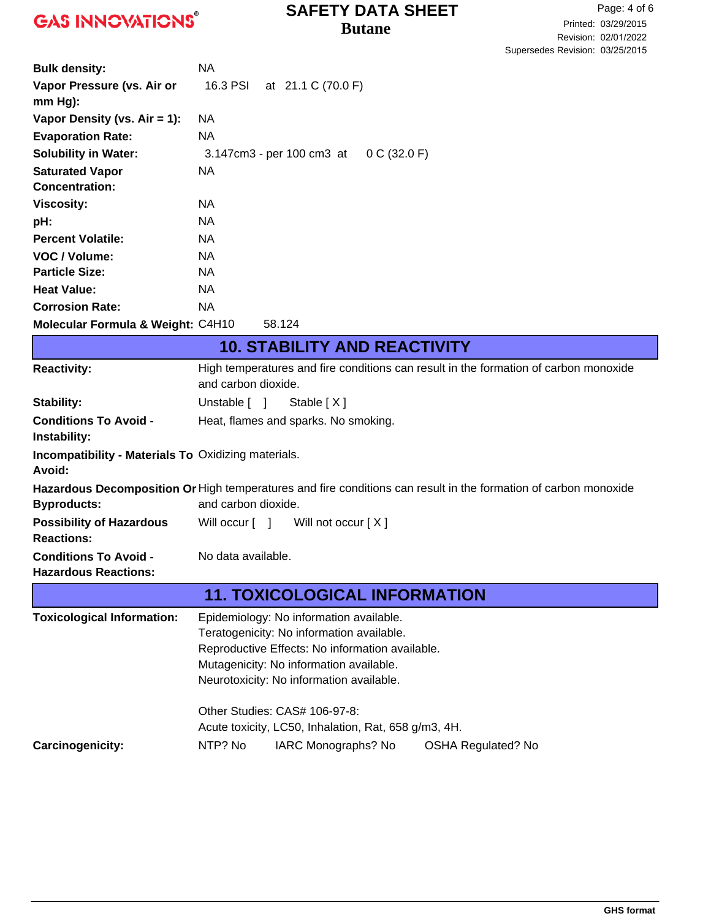### **Butane SAFETY DATA SHEET**

| <b>Bulk density:</b>                                       | <b>NA</b>                                                                                                       |  |  |
|------------------------------------------------------------|-----------------------------------------------------------------------------------------------------------------|--|--|
| Vapor Pressure (vs. Air or                                 | 16.3 PSI<br>at 21.1 C (70.0 F)                                                                                  |  |  |
| $mm Hg$ ):                                                 |                                                                                                                 |  |  |
| Vapor Density (vs. $Air = 1$ ):                            | NA.                                                                                                             |  |  |
| <b>Evaporation Rate:</b>                                   | NA                                                                                                              |  |  |
| <b>Solubility in Water:</b>                                | 0 C (32.0 F)<br>3.147cm3 - per 100 cm3 at                                                                       |  |  |
| <b>Saturated Vapor</b>                                     | <b>NA</b>                                                                                                       |  |  |
| <b>Concentration:</b>                                      |                                                                                                                 |  |  |
| <b>Viscosity:</b>                                          | <b>NA</b>                                                                                                       |  |  |
| pH:                                                        | <b>NA</b>                                                                                                       |  |  |
| <b>Percent Volatile:</b>                                   | <b>NA</b>                                                                                                       |  |  |
| VOC / Volume:                                              | <b>NA</b>                                                                                                       |  |  |
| <b>Particle Size:</b>                                      | <b>NA</b>                                                                                                       |  |  |
| <b>Heat Value:</b>                                         | <b>NA</b>                                                                                                       |  |  |
| <b>Corrosion Rate:</b>                                     | <b>NA</b>                                                                                                       |  |  |
| Molecular Formula & Weight: C4H10                          | 58.124                                                                                                          |  |  |
|                                                            | <b>10. STABILITY AND REACTIVITY</b>                                                                             |  |  |
| <b>Reactivity:</b>                                         | High temperatures and fire conditions can result in the formation of carbon monoxide<br>and carbon dioxide.     |  |  |
| <b>Stability:</b>                                          | Stable [X]<br>Unstable [ ]                                                                                      |  |  |
| <b>Conditions To Avoid -</b>                               | Heat, flames and sparks. No smoking.                                                                            |  |  |
| Instability:                                               |                                                                                                                 |  |  |
| <b>Incompatibility - Materials To Oxidizing materials.</b> |                                                                                                                 |  |  |
| Avoid:                                                     |                                                                                                                 |  |  |
|                                                            | Hazardous Decomposition Or High temperatures and fire conditions can result in the formation of carbon monoxide |  |  |
| <b>Byproducts:</b>                                         | and carbon dioxide.                                                                                             |  |  |
| <b>Possibility of Hazardous</b><br><b>Reactions:</b>       | Will occur [ ]<br>Will not occur [X]                                                                            |  |  |
| <b>Conditions To Avoid -</b>                               | No data available.                                                                                              |  |  |
| <b>Hazardous Reactions:</b>                                |                                                                                                                 |  |  |
|                                                            | <b>11. TOXICOLOGICAL INFORMATION</b>                                                                            |  |  |
| <b>Toxicological Information:</b>                          | Epidemiology: No information available.                                                                         |  |  |
|                                                            | Teratogenicity: No information available.                                                                       |  |  |
|                                                            | Reproductive Effects: No information available.                                                                 |  |  |
|                                                            | Mutagenicity: No information available.                                                                         |  |  |
|                                                            | Neurotoxicity: No information available.                                                                        |  |  |
|                                                            | Other Studies: CAS# 106-97-8:                                                                                   |  |  |
|                                                            | Acute toxicity, LC50, Inhalation, Rat, 658 g/m3, 4H.                                                            |  |  |
| Carcinogenicity:                                           | NTP? No<br>IARC Monographs? No<br><b>OSHA Regulated? No</b>                                                     |  |  |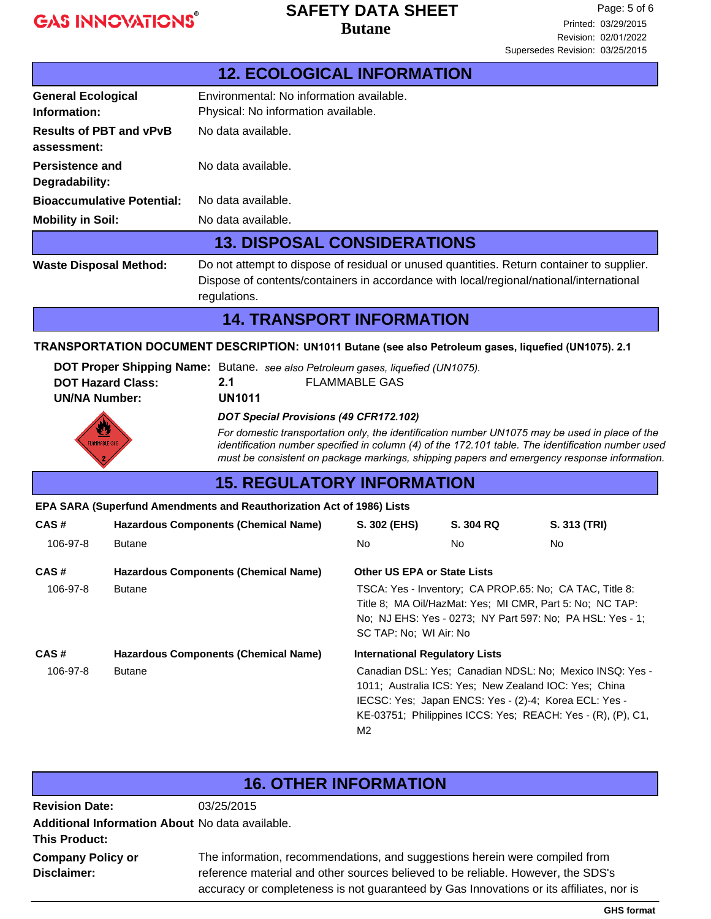#### **Butane SAFETY DATA SHEET**

|                                               | <b>12. ECOLOGICAL INFORMATION</b>                                                                                                                                                                    |  |  |
|-----------------------------------------------|------------------------------------------------------------------------------------------------------------------------------------------------------------------------------------------------------|--|--|
| <b>General Ecological</b><br>Information:     | Environmental: No information available.<br>Physical: No information available.                                                                                                                      |  |  |
| <b>Results of PBT and vPvB</b><br>assessment: | No data available.                                                                                                                                                                                   |  |  |
| Persistence and<br>Degradability:             | No data available.                                                                                                                                                                                   |  |  |
| <b>Bioaccumulative Potential:</b>             | No data available.                                                                                                                                                                                   |  |  |
| <b>Mobility in Soil:</b>                      | No data available.                                                                                                                                                                                   |  |  |
|                                               | <b>13. DISPOSAL CONSIDERATIONS</b>                                                                                                                                                                   |  |  |
| <b>Waste Disposal Method:</b>                 | Do not attempt to dispose of residual or unused quantities. Return container to supplier.<br>Dispose of contents/containers in accordance with local/regional/national/international<br>regulations. |  |  |
| <b>14. TRANSPORT INFORMATION</b>              |                                                                                                                                                                                                      |  |  |

#### **TRANSPORTATION DOCUMENT DESCRIPTION: UN1011 Butane (see also Petroleum gases, liquefied (UN1075). 2.1**

|                          |               | DOT Proper Shipping Name: Butane. see also Petroleum gases, liquefied (UN1075). |
|--------------------------|---------------|---------------------------------------------------------------------------------|
| <b>DOT Hazard Class:</b> | 2.1           | FLAMMABLE GAS                                                                   |
| <b>UN/NA Number:</b>     | <b>UN1011</b> |                                                                                 |
|                          |               |                                                                                 |

#### *DOT Special Provisions (49 CFR172.102)*



*For domestic transportation only, the identification number UN1075 may be used in place of the identification number specified in column (4) of the 172.101 table. The identification number used must be consistent on package markings, shipping papers and emergency response information.*

### **15. REGULATORY INFORMATION**

#### **EPA SARA (Superfund Amendments and Reauthorization Act of 1986) Lists**

| CAS#     | <b>Hazardous Components (Chemical Name)</b> | S. 302 (EHS)                                                                                                                                                                                                                                     | S. 304 RQ | S. 313 (TRI) |
|----------|---------------------------------------------|--------------------------------------------------------------------------------------------------------------------------------------------------------------------------------------------------------------------------------------------------|-----------|--------------|
| 106-97-8 | <b>Butane</b>                               | No.                                                                                                                                                                                                                                              | No.       | No.          |
| CAS#     | <b>Hazardous Components (Chemical Name)</b> | <b>Other US EPA or State Lists</b>                                                                                                                                                                                                               |           |              |
| 106-97-8 | <b>Butane</b>                               | TSCA: Yes - Inventory: CA PROP.65: No: CA TAC, Title 8:<br>Title 8: MA Oil/HazMat: Yes: MI CMR, Part 5: No: NC TAP:<br>No; NJ EHS: Yes - 0273; NY Part 597: No; PA HSL: Yes - 1;<br>SC TAP: No: WI Air: No                                       |           |              |
| CAS#     | <b>Hazardous Components (Chemical Name)</b> | <b>International Regulatory Lists</b>                                                                                                                                                                                                            |           |              |
| 106-97-8 | <b>Butane</b>                               | Canadian DSL: Yes; Canadian NDSL: No; Mexico INSQ: Yes -<br>1011; Australia ICS: Yes: New Zealand IOC: Yes: China<br>IECSC: Yes; Japan ENCS: Yes - (2)-4; Korea ECL: Yes -<br>KE-03751; Philippines ICCS: Yes; REACH: Yes - (R), (P), C1,<br>M2. |           |              |

#### **16. OTHER INFORMATION**

**Additional Information About** No data available. **This Product: Company Policy or Disclaimer: Revision Date:** 03/25/2015

The information, recommendations, and suggestions herein were compiled from reference material and other sources believed to be reliable. However, the SDS's accuracy or completeness is not guaranteed by Gas Innovations or its affiliates, nor is